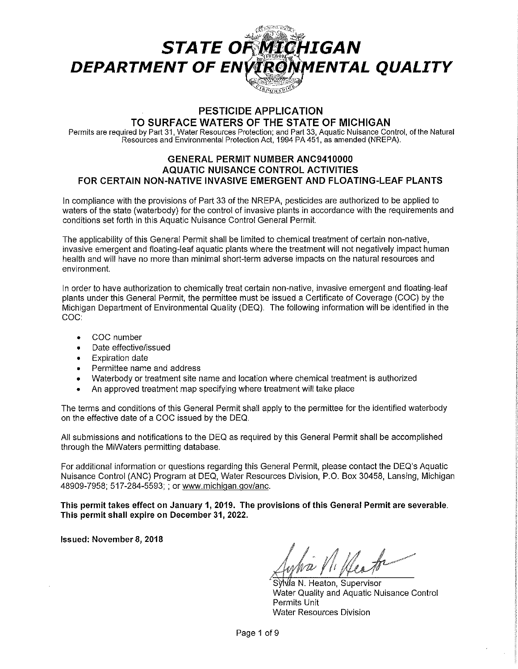# **STATE OF MICHIGAN** DEPARTMENT OF ENVIRONMENTAL QUALITY **CIROUHBUS**

# **PESTICIDE APPLICATION**

**TO SURFACE WATERS OF THE STATE OF MICHIGAN** 

Permits are required by Part 31, Water Resources Protection; and Part 33, Aquatic Nuisance Control, of the Natural Resources and Environmental Protection Act, 1994 PA 451, as amended (NREPA).

## **GENERAL PERMIT NUMBER ANC9410000 AQUATIC NUISANCE CONTROL ACTIVITIES FOR CERTAIN NON-NATIVE INVASIVE EMERGENT AND FLOATING-LEAF PLANTS**

In compliance with the provisions of Part 33 of the NREPA, pesticides are authorized to be applied to waters of the state (waterbody) for the control of invasive plants in accordance with the requirements and conditions set forth in this Aquatic Nuisance Control General Permit.

The applicability of this General Permit shall be limited to chemical treatment of certain non-native, invasive emergent and floating-leaf aquatic plants where the treatment will not negatively impact human health and will have no more than minimal short-term adverse impacts on the natural resources and environment.

In order to have authorization to chemically treat certain non-native, invasive emergent and floating-leaf plants under this General Permit, the permittee must be issued a Certificate of Coverage (COG) by the Michigan Department of Environmental Quality (DEQ). The following information will be identified in the COG:

- COG number
- Date effective/issued
- Expiration date
- Permittee name and address
- Waterbody or treatment site name and location where chemical treatment is authorized
- An approved treatment map specifying where treatment will take place

The terms and conditions of this General Permit shall apply to the permittee for the identified waterbody on the effective date of a COG issued by the DEQ.

All submissions and notifications to the DEQ as required by this General Permit shall be accomplished through the MiWaters permitting database.

For additional information or questions regarding this General Permit, please contact the DEQ's Aquatic Nuisance Control (ANG) Program at DEQ, Water Resources Division, P.O. Box 30458, Lansing, Michigan 48909-7958; 517-284-5593; ; or www.michigan.gov/anc.

**This permit takes effect on January 1, 2019. The provisions of this General Permit are severable. This permit shall expire on December 31, 2022.** 

**Issued: November 8, 2018** 

Un tr

SVMa N. Heaton, Supervisor Water Quality and Aquatic Nuisance Control Permits Unit Water Resources Division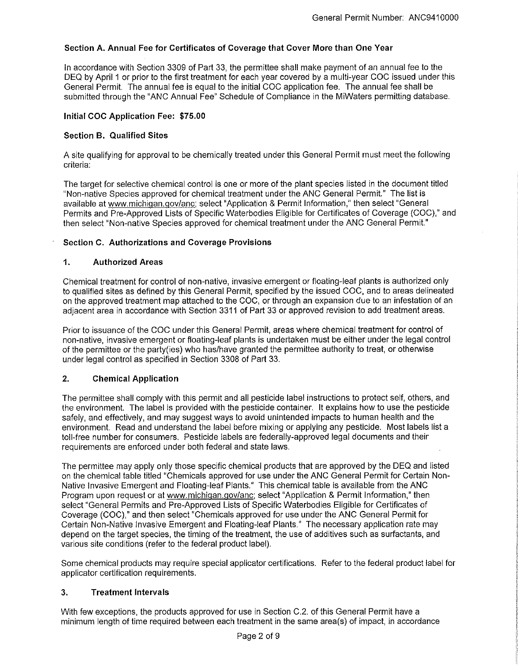## **Section A. Annual Fee for Certificates of Coverage that Cover More than One Year**

In accordance with Section 3309 of Part 33, the permittee shall make payment of an annual fee to the DEQ by April 1 or prior to the first treatment for each year covered by a multi-year COG issued under this General Permit. The annual fee is equal to the initial COG application fee. The annual fee shall be submitted through the "ANG Annual Fee" Schedule of Compliance in the MiWaters permitting database.

## **Initial CDC Application Fee: \$75.00**

## **Section B. Qualified Sites**

A site qualifying for approval to be chemically treated under this General Permit must meet the following criteria:

The target for selective chemical control is one or more of the plant species listed in the document titled "Non-native Species approved for chemical treatment under the ANG General Permit." The list is available at www.michigan.gov/anc; select "Application & Permit Information," then select "General Permits and Pre-Approved Lists of Specific Waterbodies Eligible for Certificates of Coverage (COG)," and then select "Non-native Species approved for chemical treatment under the ANG General Permit."

#### **Section C. Authorizations and Coverage Provisions**

#### **1. Authorized Areas**

Chemical treatment for control of non-native, invasive emergent or floating-leaf plants is authorized only to qualified sites as defined by this General Permit, specified by the issued COG, and to areas delineated on the approved treatment map attached to the COG, or through an expansion due to an infestation of an adjacent area in accordance with Section 3311 of Part 33 or approved revision to add treatment areas.

Prior to issuance of the COG under this General Permit, areas where chemical treatment for control of non-native, invasive emergent or floating-leaf plants is undertaken must be either under the legal control of the permittee or the party(ies) who has/have granted the permittee authority to treat, or otherwise under legal control as specified in Section 3308 of Part 33.

## **2. Chemical Application**

The permittee shall comply with this permit and all pesticide label instructions to protect self, others, and the environment. The label is provided with the pesticide container. It explains how to use the pesticide safely, and effectively, and may suggest ways to avoid unintended impacts to human health and the environment. Read and understand the label before mixing or applying any pesticide. Most labels list a toll-free number for consumers. Pesticide labels are federally-approved legal documents and their requirements are enforced under both federal and state laws.

The permittee may apply only those specific chemical products that are approved by the DEQ and listed on the chemical table titled "Chemicals approved for use under the ANG General Permit for Certain Non-Native Invasive Emergent and Floating-leaf Plants." This chemical table is available from the ANG Program upon request or at www.michigan.gov/anc; select "Application & Permit Information," then select "General Permits and Pre-Approved Lists of Specific Waterbodies Eligible for Certificates of Coverage (COG)," and then select "Chemicals approved for use under the ANG General Permit for Certain Non-Native Invasive Emergent and Floating-leaf Plants." The necessary application rate may depend on the target species, the timing of the treatment, the use of additives such as surfactants, and various site conditions (refer to the federal product label).

Some chemical products may require special applicator certifications. Refer to the federal product label for applicator certification requirements.

## **3. Treatment Intervals**

With few exceptions, the products approved for use in Section C.2. of this General Permit have a minimum length of time required between each treatment in the same area(s) of impact, in accordance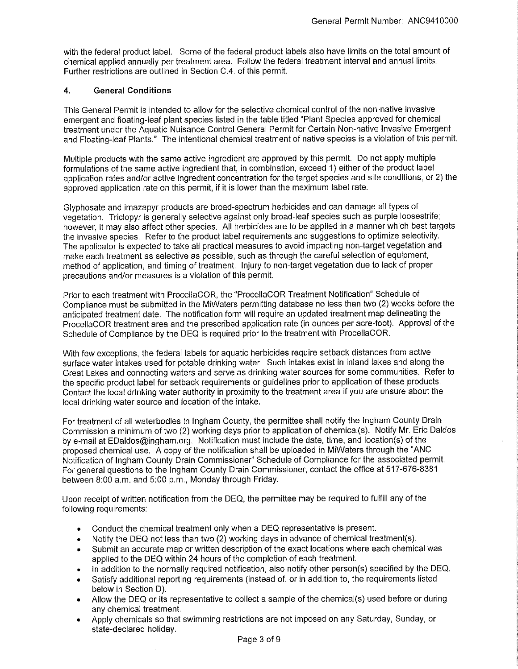with the federal product label. Some of the federal product labels also have limits on the total amount of chemical applied annually per treatment area. Follow the federal treatment interval and annual limits. Further restrictions are outlined in Section C.4. of this permit.

## **4. General Conditions**

This General Permit is intended to allow for the selective chemical control of the non-native invasive emergent and floating-leaf plant species listed in the table titled "Plant Species approved for chemical treatment under the Aquatic Nuisance Control General Permit for Certain Non-native Invasive Emergent and Floating-leaf Plants." The intentional chemical treatment of native species is a violation of this permit.

Multiple products with the same active ingredient are approved by this permit. Do not apply multiple formulations of the same active ingredient that, in combination, exceed 1) either of the product label application rates and/or active ingredient concentration for the target species and site conditions, or 2) the approved application rate on this permit, if it is lower than the maximum label rate.

Glyphosate and imazapyr products are broad-spectrum herbicides and can damage all types of vegetation. Triclopyr is generally selective against only broad-leaf species such as purple loosestrife; however, it may also affect other species. All herbicides are to be applied in a manner which best targets the invasive species. Refer to the product label requirements and suggestions to optimize selectivity. The applicator is expected to take all practical measures to avoid impacting non-target vegetation and make each treatment as selective as possible, such as through the careful selection of equipment, method of application, and timing of treatment. Injury to non-target vegetation due to lack of proper precautions and/or measures is a violation of this permit.

Prior to each treatment with ProcellaCOR, the "ProcellaCOR Treatment Notification" Schedule of Compliance must be submitted in the MiWaters permitting database no less than two (2) weeks before the anticipated treatment date. The notification form will require an updated treatment map delineating the ProcellaCOR treatment area and the prescribed application rate (in ounces per acre-foot). Approval of the Schedule of Compliance by the DEQ is required prior to the treatment with ProcellaCOR.

With few exceptions, the federal labels for aquatic herbicides require setback distances from active surface water intakes used for potable drinking water. Such intakes exist in inland lakes and along the Great Lakes and connecting waters and serve as drinking water sources for some communities. Refer to the specific product label for setback requirements or guidelines prior to application of these products. Contact the local drinking water authority in proximity to the treatment area if you are unsure about the local drinking water source and location of the intake.

For treatment of all waterbodies in Ingham County, the permittee shall notify the Ingham County Drain Commission a minimum of two (2) working days prior to application of chemical(s). Notify Mr. Eric Daldos by e-mail at EDaldos@ingham.org. Notification must include the date, time, and location(s) of the proposed chemical use. A copy of the notification shall be uploaded in MiWaters through the "ANC Notification of Ingham County Drain Commissioner" Schedule of Compliance for the associated permit. For general questions to the Ingham County Drain Commissioner, contact the office at 517-676-8381 between 8:00 a.m. and 5:00 p.m., Monday through Friday.

Upon receipt of written notification from the DEQ, the permittee may be required to fulfill any of the following requirements:

- Conduct the chemical treatment only when a DEQ representative is present.
- Notify the DEQ not less than two (2) working days in advance of chemical treatment(s).
- Submit an accurate map or written description of the exact locations where each chemical was applied to the DEQ within 24 hours of the completion of each treatment.
- In addition to the normally required notification, also notify other person(s) specified by the DEQ.
- Satisfy additional reporting requirements (instead of, or in addition to, the requirements listed below in Section D).
- Allow the DEQ or its representative to collect a sample of the chemical(s) used before or during any chemical treatment.
- Apply chemicals so that swimming restrictions are not imposed on any Saturday, Sunday, or state-declared holiday.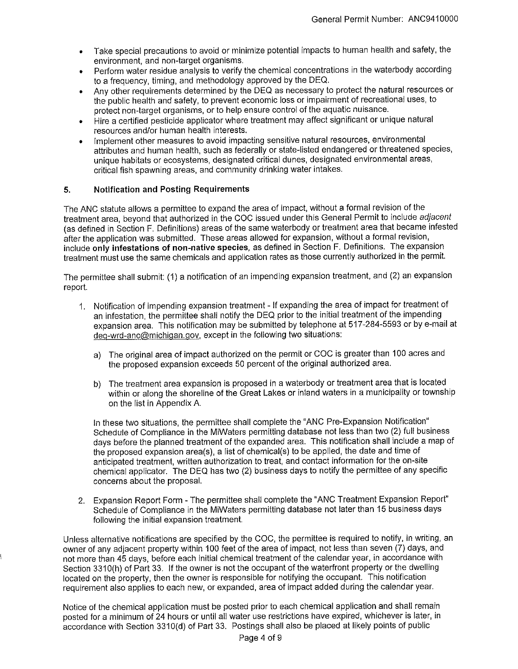- Take special precautions to avoid or minimize potential impacts to human health and safety, the environment, and non-target organisms.
- Perform water residue analysis to verify the chemical concentrations in the waterbody according to a frequency, timing, and methodology approved by the DEQ.
- Any other requirements determined by the DEQ as necessary to protect the natural resources or the public health and safety, to prevent economic loss or impairment of recreational uses, to protect non-target organisms, or to help ensure control of the aquatic nuisance.
- Hire a certified pesticide applicator where treatment may affect significant or unique natural resources and/or human health interests.
- Implement other measures to avoid impacting sensitive natural resources, environmental attributes and human health, such as federally or state-listed endangered or threatened species, unique habitats or ecosystems, designated critical dunes, designated environmental areas, critical fish spawning areas, and community drinking water intakes.

#### **5. Notification and Posting Requirements**

The ANG statute allows a permittee to expand the area of impact, without a formal revision of the treatment area, beyond that authorized in the COG issued under this General Permit to include adjacent (as defined in Section F. Definitions) areas of the same waterbody or treatment area that became infested after the application was submitted. These areas allowed for expansion, without a formal revision, include **only infestations of non-native species,** as defined in Section F. Definitions. The expansion treatment must use the same chemicals and application rates as those currently authorized in the permit.

The permittee shall submit: (1) a notification of an impending expansion treatment, and (2) an expansion report.

- 1. Notification of impending expansion treatment If expanding the area of impact for treatment of an infestation, the permittee shall notify the DEQ prior to the initial treatment of the impending expansion area. This notification may be submitted by telephone at 517-284-5593 or by e-mail at deq-wrd-anc@michigan.gov, except in the following two situations:
	- a) The original area of impact authorized on the permit or COG is greater than 100 acres and the proposed expansion exceeds 50 percent of the original authorized area.
	- b) The treatment area expansion is proposed in a waterbody or treatment area that is located within or along the shoreline of the Great Lakes or inland waters in a municipality or township on the list in Appendix A.

In these two situations, the permittee shall complete the "ANC Pre-Expansion Notification" Schedule of Compliance in the MiWaters permitting database not less than two (2) full business days before the planned treatment of the expanded area. This notification shall include a map of the proposed expansion area(s), a list of chemical(s) to be applied, the date and time of anticipated treatment, written authorization to treat, and contact information for the on-site chemical applicator. The DEQ has two (2) business days to notify the permittee of any specific concerns about the proposal.

2. Expansion Report Form - The permittee shall complete the "ANG Treatment Expansion Report" Schedule of Compliance in the MiWaters permitting database not later than 15 business days following the initial expansion treatment.

Unless alternative notifications are specified by the COG, the permittee is required to notify, in writing, an owner of any adjacent property within 100 feet of the area of impact, not less than seven (7) days, and not more than 45 days, before each initial chemical treatment of the calendar year, in accordance with Section 3310(h) of Part 33. If the owner is not the occupant of the waterfront property or the dwelling located on the property, then the owner is responsible for notifying the occupant. This notification requirement also applies to each new, or expanded, area of impact added during the calendar year.

Notice of the chemical application must be posted prior to each chemical application and shall remain posted for a minimum of 24 hours or until all water use restrictions have expired, whichever is later, in accordance with Section 3310(d) of Part 33. Postings shall also be placed at likely points of public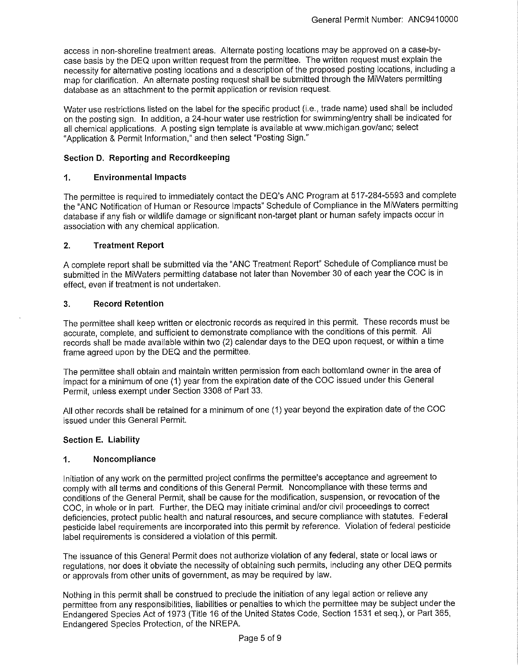access in non-shoreline treatment areas. Alternate posting locations may be approved on a case-bycase basis by the DEQ upon written request from the permittee. The written request must explain the necessity for alternative posting locations and a description of the proposed posting locations, including a map for clarification. An alternate posting request shall be submitted through the MiWaters permitting database as an attachment to the permit application or revision request.

Water use restrictions listed on the label for the specific product (i.e., trade name) used shall be included on the posting sign. In addition, a 24-hour water use restriction for swimming/entry shall be indicated for all chemical applications. A posting sign template is available at www.michigan.gov/anc; select "Application & Permit Information," and then select "Posting Sign."

#### **Section D. Reporting and Recordkeeping**

#### **1. Environmental Impacts**

The permittee is required to immediately contact the DEQ's ANC Program at 517-284-5593 and complete the "ANC Notification of Human or Resource Impacts" Schedule of Compliance in the MiWaters permitting database if any fish or wildlife damage or significant non-target plant or human safety impacts occur in association with any chemical application.

#### **2. Treatment Report**

A complete report shall be submitted via the "ANC Treatment Report" Schedule of Compliance must be submitted in the MiWaters permitting database not later than November 30 of each year the COC is in effect, even if treatment is not undertaken.

#### **3. Record Retention**

The permittee shall keep written or electronic records as required in this permit. These records must be accurate, complete, and sufficient to demonstrate compliance with the conditions of this permit. All records shall be made available within two (2) calendar days to the DEQ upon request, or within a time frame agreed upon by the DEQ and the permittee.

The permittee shall obtain and maintain written permission from each bottomland owner in the area of impact for a minimum of one (1) year from the expiration date of the COC issued under this General Permit, unless exempt under Section 3308 of Part 33.

All other records shall be retained for a minimum of one (1) year beyond the expiration date of the COC issued under this General Permit.

## **Section E. Liability**

#### **1. Noncompliance**

Initiation of any work on the permitted project confirms the permittee's acceptance and agreement to comply with all terms and conditions of this General Permit. Noncompliance with these terms and conditions of the General Permit, shall be cause for the modification, suspension, or revocation of the COC, in whole or in part. Further, the DEQ may initiate criminal and/or civil proceedings to correct deficiencies, protect public health and natural resources, and secure compliance with statutes. Federal pesticide label requirements are incorporated into this permit by reference. Violation of federal pesticide label requirements is considered a violation of this permit.

The issuance of this General Permit does not authorize violation of any federal, state or local laws or regulations, nor does it obviate the necessity of obtaining such permits, including any other DEQ permits or approvals from other units of government, as may be required by law.

Nothing in this permit shall be construed to preclude the initiation of any legal action or relieve any permittee from any responsibilities, liabilities or penalties to which the permittee may be subject under the Endangered Species Act of 1973 (Title 16 of the United States Code, Section 1531 et seq.), or Part 365, Endangered Species Protection, of the NREPA.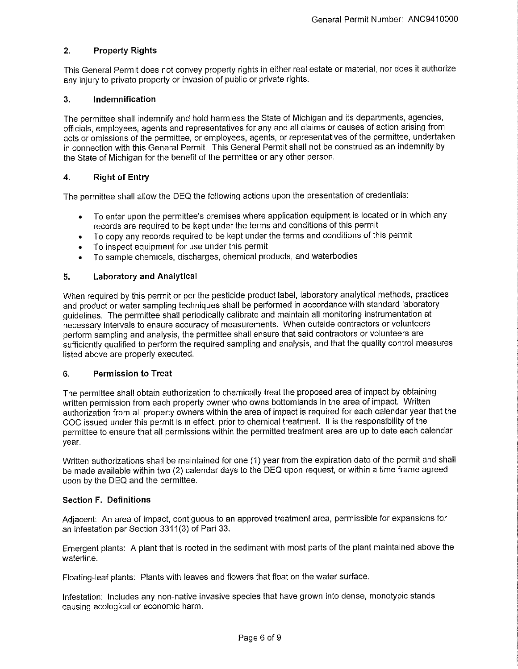## **2. Property Rights**

This General Permit does not convey property rights in either real estate or material, nor does it authorize any injury to private property or invasion of public or private rights.

#### **3. Indemnification**

The permittee shall indemnify and hold harmless the State of Michigan and its departments, agencies, officials, employees, agents and representatives for any and all claims or causes of action arising from acts or omissions of the permittee, or employees, agents, or representatives of the permittee, undertaken in connection with this General Permit. This General Permit shall not be construed as an indemnity by the State of Michigan for the benefit of the permittee or any other person.

#### **4. Right of Entry**

The permittee shall allow the DEQ the following actions upon the presentation of credentials:

- To enter upon the permittee's premises where application equipment is located or in which any records are required to be kept under the terms and conditions of this permit
- To copy any records required to be kept under the terms and conditions of this permit
- To inspect equipment for use under this permit
- To sample chemicals, discharges, chemical products, and waterbodies

#### **5. Laboratory and Analytical**

When required by this permit or per the pesticide product label, laboratory analytical methods, practices and product or water sampling techniques shall be performed in accordance with standard laboratory guidelines. The permittee shall periodically calibrate and maintain all monitoring instrumentation at necessary intervals to ensure accuracy of measurements. When outside contractors or volunteers perform sampling and analysis, the permittee shall ensure that said contractors or volunteers are sufficiently qualified to perform the required sampling and analysis, and that the quality control measures listed above are properly executed.

#### **6. Permission to Treat**

The permittee shall obtain authorization to chemically treat the proposed area of impact by obtaining written permission from each property owner who owns bottom lands in the area of impact. Written authorization from all property owners within the area of impact is required for each calendar year that the COG issued under this permit is in effect, prior to chemical treatment. It is the responsibility of the permittee to ensure that all permissions within the permitted treatment area are up to date each calendar year.

Written authorizations shall be maintained for one (1) year from the expiration date of the permit and shall be made available within two (2) calendar days to the DEQ upon request, or within a time frame agreed upon by the DEQ and the permittee.

## **Section F. Definitions**

Adjacent: An area of impact, contiguous to an approved treatment area, permissible for expansions for an infestation per Section 3311(3) of Part 33.

Emergent plants: A plant that is rooted in the sediment with most parts of the plant maintained above the waterline.

Floating-leaf plants: Plants with leaves and flowers that float on the water surface.

Infestation: Includes any non-native invasive species that have grown into dense, monotypic stands causing ecological or economic harm.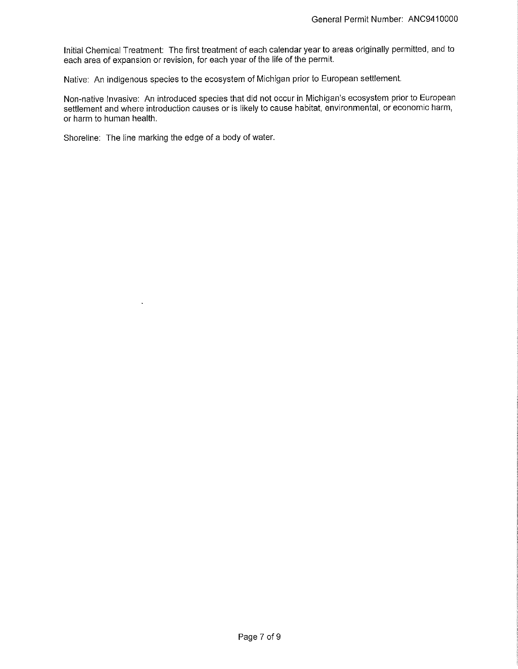Initial Chemical Treatment: The first treatment of each calendar year to areas originally permitted, and to each area of expansion or revision, for each year of the life of the permit.

Native: An indigenous species to the ecosystem of Michigan prior to European settlement.

Non-native Invasive: An introduced species that did not occur in Michigan's ecosystem prior to European settlement and where introduction causes or is likely to cause habitat, environmental, or economic harm, or harm to human health.

Shoreline: The line marking the edge of a body of water.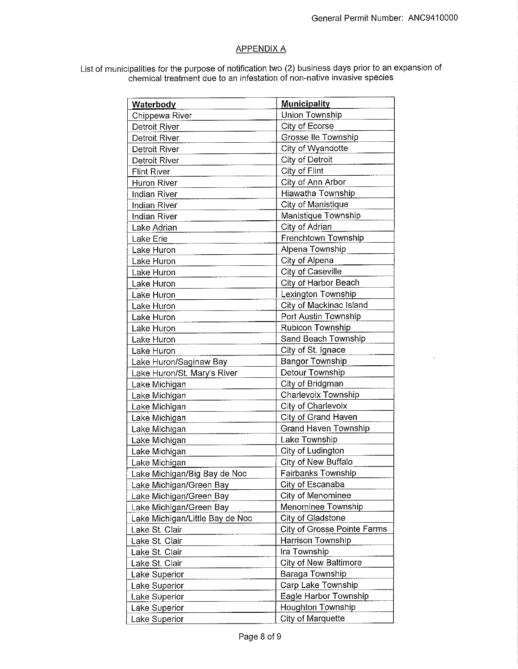## APPENDIX A

List of municipalities for the purpose of notification two (2) business days prior to an expansion of chemical treatment due to an infestation of non-native invasive species

| <b>Waterbody</b>                | <b>Municipality</b>                     |
|---------------------------------|-----------------------------------------|
| Chippewa River                  | Union Township                          |
| Detroit River                   | City of Ecorse                          |
| <b>Detroit River</b>            | Grosse Ile Township                     |
| Detroit River                   | City of Wyandotte                       |
| <b>Detroit River</b>            | City of Detroit                         |
| <b>Flint River</b>              | City of Flint                           |
| <b>Huron River</b>              | City of Ann Arbor                       |
| Indian River                    | Hiawatha Township                       |
| <b>Indian River</b>             | City of Manistique                      |
| <b>Indian River</b>             | Manistique Township                     |
| Lake Adrian                     | City of Adrian                          |
| Lake Erie                       | Frenchtown Township                     |
| Lake Huron                      | Alpena Township                         |
| Lake Huron                      | City of Alpena                          |
| Lake Huron                      | <b>City of Caseville</b>                |
| Lake Huron                      | City of Harbor Beach                    |
| Lake Huron                      | Lexington Township                      |
| Lake Huron                      | City of Mackinac Island                 |
| Lake Huron                      | Port Austin Township                    |
| Lake Huron                      | Rubicon Township                        |
| Lake Huron                      | Sand Beach Township                     |
|                                 | City of St. Ignace                      |
| Lake Huron                      | <b>Bangor Township</b>                  |
| Lake Huron/Saginaw Bay          | Detour Township                         |
| Lake Huron/St. Mary's River     |                                         |
| Lake Michigan                   | City of Bridgman<br>Charlevoix Township |
| Lake Michigan                   |                                         |
| Lake Michigan                   | City of Charlevoix                      |
| Lake Michigan                   | City of Grand Haven                     |
| Lake Michigan                   | <b>Grand Haven Township</b>             |
| Lake Michigan                   | Lake Township                           |
| Lake Michigan                   | City of Ludington                       |
| Lake Michigan                   | City of New Buffalo                     |
| Lake Michigan/Big Bay de Noc    | Fairbanks Township                      |
| Lake Michigan/Green Bay         | City of Escanaba                        |
| Lake Michigan/Green Bay         | City of Menominee                       |
| Lake Michigan/Green Bay         | Menominee Township                      |
| Lake Michigan/Little Bay de Noc | City of Gladstone                       |
| Lake St. Clair                  | City of Grosse Pointe Farms             |
| Lake St. Clair                  | Harrison Township                       |
| Lake St. Clair                  | Ira Township                            |
| Lake St. Clair                  | <b>City of New Baltimore</b>            |
| Lake Superior                   | Baraga Township                         |
| Lake Superior                   | Carp Lake Township                      |
| Lake Superior                   | Eagle Harbor Township                   |
| Lake Superior                   | Houghton Township                       |
| Lake Superior                   | City of Marquette                       |